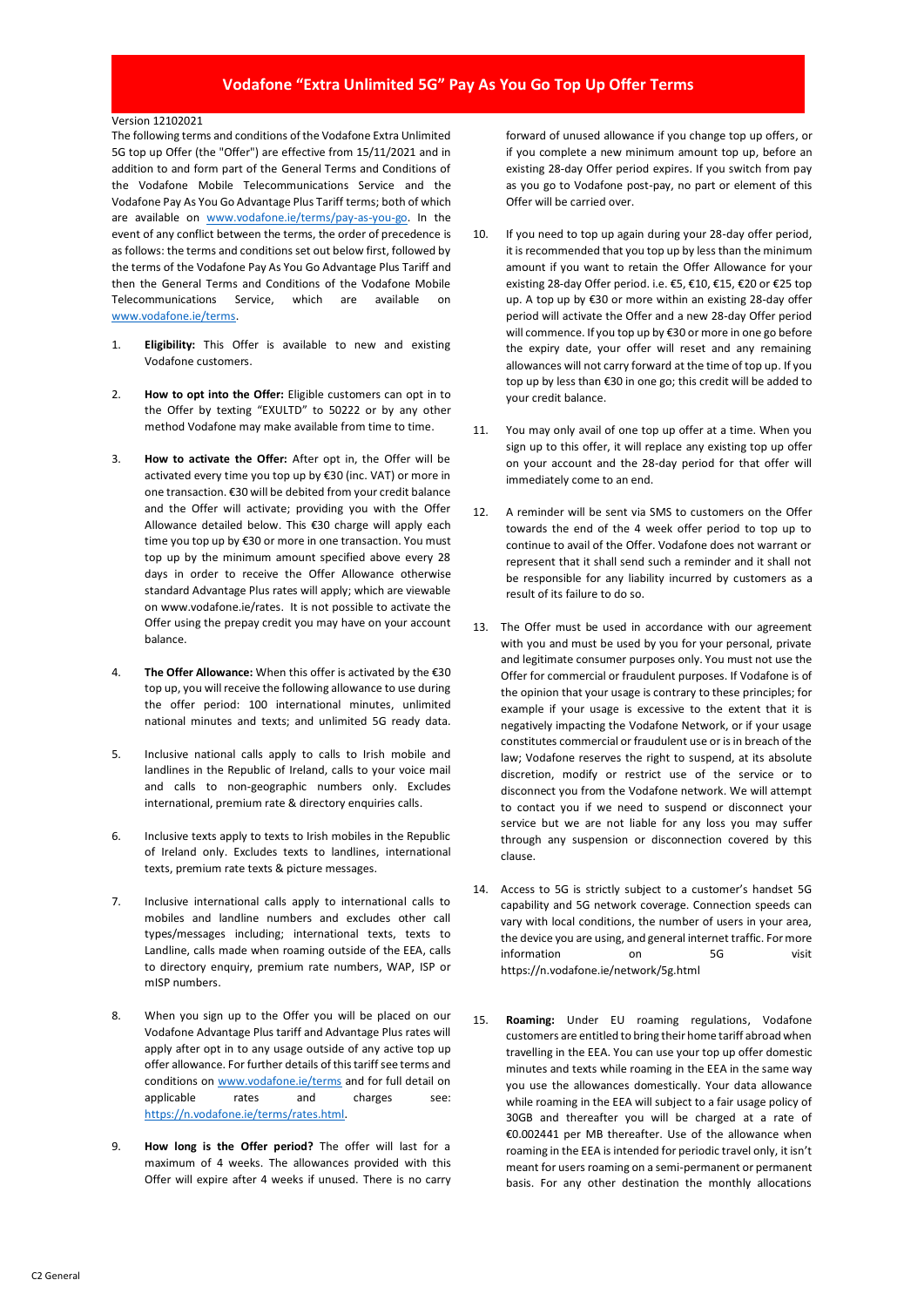## **Vodafone "Extra Unlimited 5G" Pay As You Go Top Up Offer Terms**

## Version 12102021

The following terms and conditions of the Vodafone Extra Unlimited 5G top up Offer (the "Offer") are effective from 15/11/2021 and in addition to and form part of the General Terms and Conditions of the Vodafone Mobile Telecommunications Service and the Vodafone Pay As You Go Advantage Plus Tariff terms; both of which are available on [www.vodafone.ie/terms/pay-as-you-go.](https://n.vodafone.ie/terms/pay-as-you-go.html) In the event of any conflict between the terms, the order of precedence is as follows: the terms and conditions set out below first, followed by the terms of the Vodafone Pay As You Go Advantage Plus Tariff and then the General Terms and Conditions of the Vodafone Mobile Telecommunications Service, which are available [www.vodafone.ie/terms.](http://www.vodafone.ie/terms)

- 1. **Eligibility:** This Offer is available to new and existing Vodafone customers.
- 2. **How to opt into the Offer:** Eligible customers can opt in to the Offer by texting "EXULTD" to 50222 or by any other method Vodafone may make available from time to time.
- 3. **How to activate the Offer:** After opt in, the Offer will be activated every time you top up by €30 (inc. VAT) or more in one transaction. €30 will be debited from your credit balance and the Offer will activate; providing you with the Offer Allowance detailed below. This €30 charge will apply each time you top up by €30 or more in one transaction. You must top up by the minimum amount specified above every 28 days in order to receive the Offer Allowance otherwise standard Advantage Plus rates will apply; which are viewable on www.vodafone.ie/rates. It is not possible to activate the Offer using the prepay credit you may have on your account balance.
- 4. **The Offer Allowance:** When this offer is activated by the €30 top up, you will receive the following allowance to use during the offer period: 100 international minutes, unlimited national minutes and texts; and unlimited 5G ready data.
- 5. Inclusive national calls apply to calls to Irish mobile and landlines in the Republic of Ireland, calls to your voice mail and calls to non-geographic numbers only. Excludes international, premium rate & directory enquiries calls.
- 6. Inclusive texts apply to texts to Irish mobiles in the Republic of Ireland only. Excludes texts to landlines, international texts, premium rate texts & picture messages.
- 7. Inclusive international calls apply to international calls to mobiles and landline numbers and excludes other call types/messages including; international texts, texts to Landline, calls made when roaming outside of the EEA, calls to directory enquiry, premium rate numbers, WAP, ISP or mISP numbers.
- 8. When you sign up to the Offer you will be placed on our Vodafone Advantage Plus tariff and Advantage Plus rates will apply after opt in to any usage outside of any active top up offer allowance. For further details of this tariff see terms and conditions o[n www.vodafone.ie/terms](http://www.vodafone.ie/terms) and for full detail on applicable rates and charges see: [https://n.vodafone.ie/terms/rates.html.](https://n.vodafone.ie/terms/rates.html)
- 9. **How long is the Offer period?** The offer will last for a maximum of 4 weeks. The allowances provided with this Offer will expire after 4 weeks if unused. There is no carry

forward of unused allowance if you change top up offers, or if you complete a new minimum amount top up, before an existing 28-day Offer period expires. If you switch from pay as you go to Vodafone post-pay, no part or element of this Offer will be carried over.

- 10. If you need to top up again during your 28-day offer period, it is recommended that you top up by less than the minimum amount if you want to retain the Offer Allowance for your existing 28-day Offer period. i.e. €5, €10, €15, €20 or €25 top up. A top up by €30 or more within an existing 28-day offer period will activate the Offer and a new 28-day Offer period will commence. If you top up by €30 or more in one go before the expiry date, your offer will reset and any remaining allowances will not carry forward at the time of top up. If you top up by less than €30 in one go; this credit will be added to your credit balance.
- 11. You may only avail of one top up offer at a time. When you sign up to this offer, it will replace any existing top up offer on your account and the 28-day period for that offer will immediately come to an end.
- 12. A reminder will be sent via SMS to customers on the Offer towards the end of the 4 week offer period to top up to continue to avail of the Offer. Vodafone does not warrant or represent that it shall send such a reminder and it shall not be responsible for any liability incurred by customers as a result of its failure to do so.
- 13. The Offer must be used in accordance with our agreement with you and must be used by you for your personal, private and legitimate consumer purposes only. You must not use the Offer for commercial or fraudulent purposes. If Vodafone is of the opinion that your usage is contrary to these principles; for example if your usage is excessive to the extent that it is negatively impacting the Vodafone Network, or if your usage constitutes commercial or fraudulent use or is in breach of the law; Vodafone reserves the right to suspend, at its absolute discretion, modify or restrict use of the service or to disconnect you from the Vodafone network. We will attempt to contact you if we need to suspend or disconnect your service but we are not liable for any loss you may suffer through any suspension or disconnection covered by this clause.
- 14. Access to 5G is strictly subject to a customer's handset 5G capability and 5G network coverage. Connection speeds can vary with local conditions, the number of users in your area, the device you are using, and general internet traffic. For more information on 5G visit https://n.vodafone.ie/network/5g.html
- 15. **Roaming:** Under EU roaming regulations, Vodafone customers are entitled to bring their home tariff abroad when travelling in the EEA. You can use your top up offer domestic minutes and texts while roaming in the EEA in the same way you use the allowances domestically. Your data allowance while roaming in the EEA will subject to a fair usage policy of 30GB and thereafter you will be charged at a rate of €0.002441 per MB thereafter. Use of the allowance when roaming in the EEA is intended for periodic travel only, it isn't meant for users roaming on a semi-permanent or permanent basis. For any other destination the monthly allocations